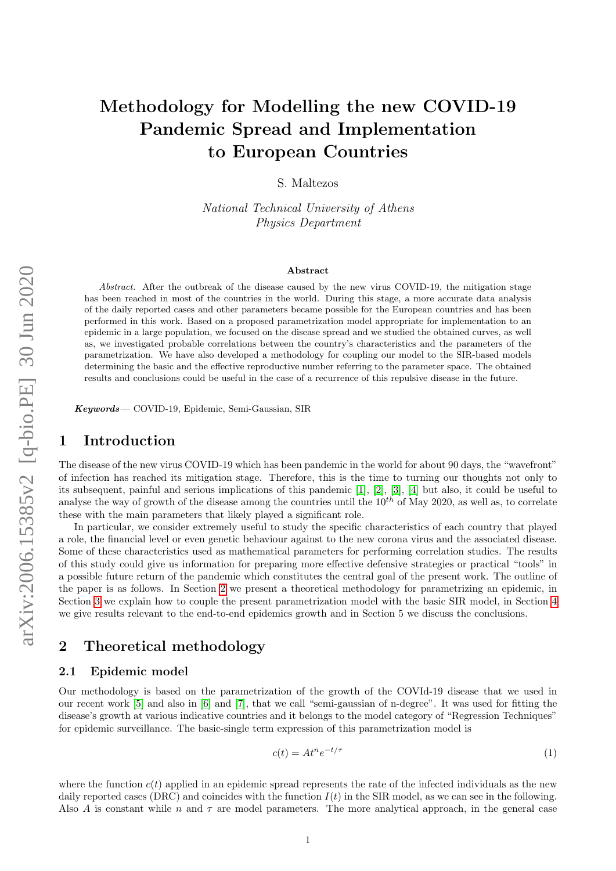# Methodology for Modelling the new COVID-19 Pandemic Spread and Implementation to European Countries

S. Maltezos

National Technical University of Athens Physics Department

#### Abstract

Abstract. After the outbreak of the disease caused by the new virus COVID-19, the mitigation stage has been reached in most of the countries in the world. During this stage, a more accurate data analysis of the daily reported cases and other parameters became possible for the European countries and has been performed in this work. Based on a proposed parametrization model appropriate for implementation to an epidemic in a large population, we focused on the disease spread and we studied the obtained curves, as well as, we investigated probable correlations between the country's characteristics and the parameters of the parametrization. We have also developed a methodology for coupling our model to the SIR-based models determining the basic and the effective reproductive number referring to the parameter space. The obtained results and conclusions could be useful in the case of a recurrence of this repulsive disease in the future.

Keywords— COVID-19, Epidemic, Semi-Gaussian, SIR

## 1 Introduction

The disease of the new virus COVID-19 which has been pandemic in the world for about 90 days, the "wavefront" of infection has reached its mitigation stage. Therefore, this is the time to turning our thoughts not only to its subsequent, painful and serious implications of this pandemic [\[1\]](#page-7-0), [\[2\]](#page-7-1), [\[3\]](#page-7-2), [\[4\]](#page-7-3) but also, it could be useful to analyse the way of growth of the disease among the countries until the  $10^{th}$  of May 2020, as well as, to correlate these with the main parameters that likely played a significant role.

In particular, we consider extremely useful to study the specific characteristics of each country that played a role, the financial level or even genetic behaviour against to the new corona virus and the associated disease. Some of these characteristics used as mathematical parameters for performing correlation studies. The results of this study could give us information for preparing more effective defensive strategies or practical "tools" in a possible future return of the pandemic which constitutes the central goal of the present work. The outline of the paper is as follows. In Section [2](#page-0-0) we present a theoretical methodology for parametrizing an epidemic, in Section [3](#page-2-0) we explain how to couple the present parametrization model with the basic SIR model, in Section [4](#page-5-0) we give results relevant to the end-to-end epidemics growth and in Section 5 we discuss the conclusions.

# <span id="page-0-0"></span>2 Theoretical methodology

#### 2.1 Epidemic model

Our methodology is based on the parametrization of the growth of the COVId-19 disease that we used in our recent work [\[5\]](#page-7-4) and also in [\[6\]](#page-7-5) and [\[7\]](#page-7-6), that we call "semi-gaussian of n-degree". It was used for fitting the disease's growth at various indicative countries and it belongs to the model category of "Regression Techniques" for epidemic surveillance. The basic-single term expression of this parametrization model is

$$
c(t) = At^n e^{-t/\tau} \tag{1}
$$

where the function  $c(t)$  applied in an epidemic spread represents the rate of the infected individuals as the new daily reported cases (DRC) and coincides with the function  $I(t)$  in the SIR model, as we can see in the following. Also A is constant while n and  $\tau$  are model parameters. The more analytical approach, in the general case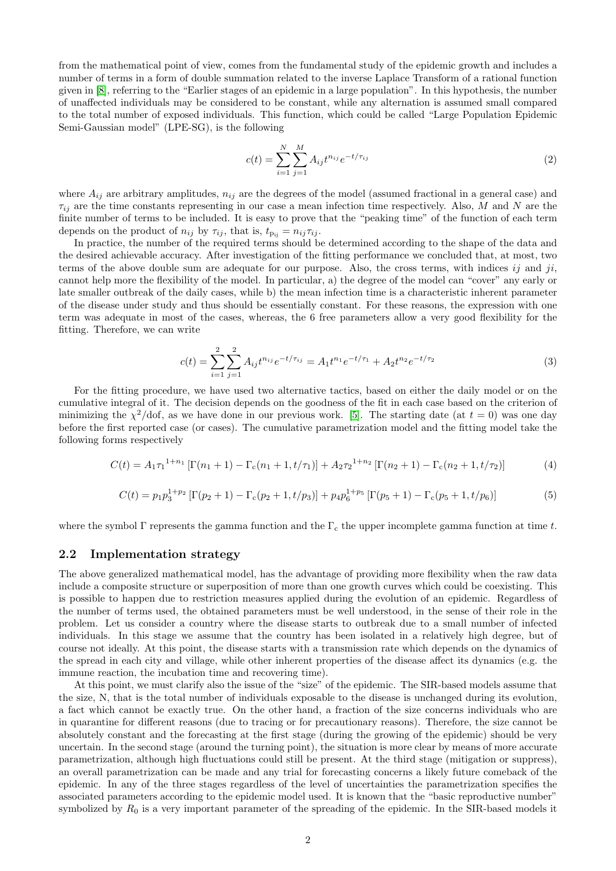from the mathematical point of view, comes from the fundamental study of the epidemic growth and includes a number of terms in a form of double summation related to the inverse Laplace Transform of a rational function given in [\[8\]](#page-7-7), referring to the "Earlier stages of an epidemic in a large population". In this hypothesis, the number of unaffected individuals may be considered to be constant, while any alternation is assumed small compared to the total number of exposed individuals. This function, which could be called "Large Population Epidemic Semi-Gaussian model" (LPE-SG), is the following

$$
c(t) = \sum_{i=1}^{N} \sum_{j=1}^{M} A_{ij} t^{n_{ij}} e^{-t/\tau_{ij}}
$$
\n(2)

where  $A_{ij}$  are arbitrary amplitudes,  $n_{ij}$  are the degrees of the model (assumed fractional in a general case) and  $\tau_{ij}$  are the time constants representing in our case a mean infection time respectively. Also, M and N are the finite number of terms to be included. It is easy to prove that the "peaking time" of the function of each term depends on the product of  $n_{ij}$  by  $\tau_{ij}$ , that is,  $t_{\text{p}_{ij}} = n_{ij} \tau_{ij}$ .

In practice, the number of the required terms should be determined according to the shape of the data and the desired achievable accuracy. After investigation of the fitting performance we concluded that, at most, two terms of the above double sum are adequate for our purpose. Also, the cross terms, with indices ij and ji, cannot help more the flexibility of the model. In particular, a) the degree of the model can "cover" any early or late smaller outbreak of the daily cases, while b) the mean infection time is a characteristic inherent parameter of the disease under study and thus should be essentially constant. For these reasons, the expression with one term was adequate in most of the cases, whereas, the 6 free parameters allow a very good flexibility for the fitting. Therefore, we can write

$$
c(t) = \sum_{i=1}^{2} \sum_{j=1}^{2} A_{ij} t^{n_{ij}} e^{-t/\tau_{ij}} = A_1 t^{n_1} e^{-t/\tau_1} + A_2 t^{n_2} e^{-t/\tau_2}
$$
\n(3)

For the fitting procedure, we have used two alternative tactics, based on either the daily model or on the cumulative integral of it. The decision depends on the goodness of the fit in each case based on the criterion of minimizing the  $\chi^2$ /dof, as we have done in our previous work. [\[5\]](#page-7-4). The starting date (at  $t=0$ ) was one day before the first reported case (or cases). The cumulative parametrization model and the fitting model take the following forms respectively

$$
C(t) = A_1 \tau_1^{1+n_1} \left[ \Gamma(n_1 + 1) - \Gamma_c(n_1 + 1, t/\tau_1) \right] + A_2 \tau_2^{1+n_2} \left[ \Gamma(n_2 + 1) - \Gamma_c(n_2 + 1, t/\tau_2) \right]
$$
(4)

$$
C(t) = p_1 p_3^{1+p_2} \left[ \Gamma(p_2 + 1) - \Gamma_c(p_2 + 1, t/p_3) \right] + p_4 p_6^{1+p_5} \left[ \Gamma(p_5 + 1) - \Gamma_c(p_5 + 1, t/p_6) \right]
$$
(5)

where the symbol  $\Gamma$  represents the gamma function and the  $\Gamma_c$  the upper incomplete gamma function at time t.

#### 2.2 Implementation strategy

The above generalized mathematical model, has the advantage of providing more flexibility when the raw data include a composite structure or superposition of more than one growth curves which could be coexisting. This is possible to happen due to restriction measures applied during the evolution of an epidemic. Regardless of the number of terms used, the obtained parameters must be well understood, in the sense of their role in the problem. Let us consider a country where the disease starts to outbreak due to a small number of infected individuals. In this stage we assume that the country has been isolated in a relatively high degree, but of course not ideally. At this point, the disease starts with a transmission rate which depends on the dynamics of the spread in each city and village, while other inherent properties of the disease affect its dynamics (e.g. the immune reaction, the incubation time and recovering time).

At this point, we must clarify also the issue of the "size" of the epidemic. The SIR-based models assume that the size, N, that is the total number of individuals exposable to the disease is unchanged during its evolution, a fact which cannot be exactly true. On the other hand, a fraction of the size concerns individuals who are in quarantine for different reasons (due to tracing or for precautionary reasons). Therefore, the size cannot be absolutely constant and the forecasting at the first stage (during the growing of the epidemic) should be very uncertain. In the second stage (around the turning point), the situation is more clear by means of more accurate parametrization, although high fluctuations could still be present. At the third stage (mitigation or suppress), an overall parametrization can be made and any trial for forecasting concerns a likely future comeback of the epidemic. In any of the three stages regardless of the level of uncertainties the parametrization specifies the associated parameters according to the epidemic model used. It is known that the "basic reproductive number" symbolized by  $R_0$  is a very important parameter of the spreading of the epidemic. In the SIR-based models it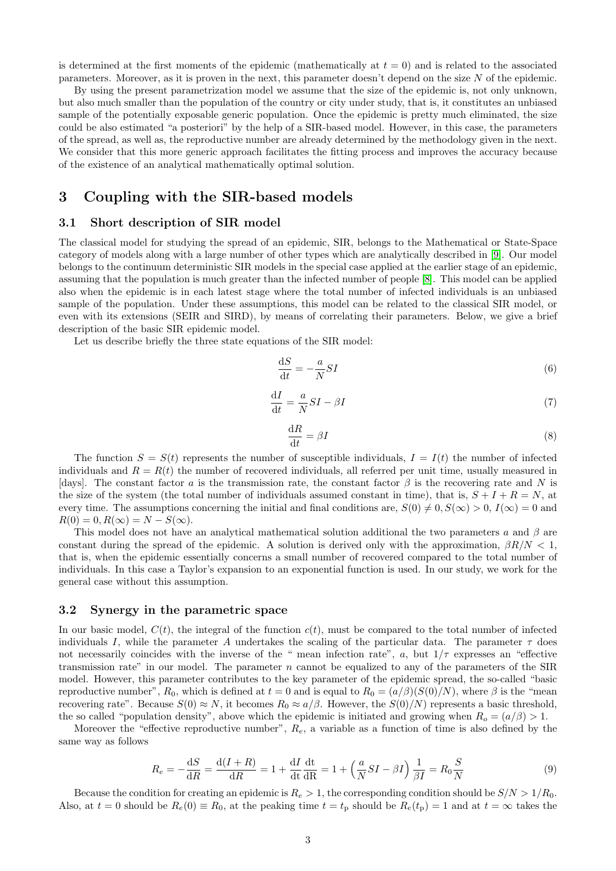is determined at the first moments of the epidemic (mathematically at  $t = 0$ ) and is related to the associated parameters. Moreover, as it is proven in the next, this parameter doesn't depend on the size N of the epidemic.

By using the present parametrization model we assume that the size of the epidemic is, not only unknown, but also much smaller than the population of the country or city under study, that is, it constitutes an unbiased sample of the potentially exposable generic population. Once the epidemic is pretty much eliminated, the size could be also estimated "a posteriori" by the help of a SIR-based model. However, in this case, the parameters of the spread, as well as, the reproductive number are already determined by the methodology given in the next. We consider that this more generic approach facilitates the fitting process and improves the accuracy because of the existence of an analytical mathematically optimal solution.

## <span id="page-2-0"></span>3 Coupling with the SIR-based models

### 3.1 Short description of SIR model

The classical model for studying the spread of an epidemic, SIR, belongs to the Mathematical or State-Space category of models along with a large number of other types which are analytically described in [\[9\]](#page-7-8). Our model belongs to the continuum deterministic SIR models in the special case applied at the earlier stage of an epidemic, assuming that the population is much greater than the infected number of people [\[8\]](#page-7-7). This model can be applied also when the epidemic is in each latest stage where the total number of infected individuals is an unbiased sample of the population. Under these assumptions, this model can be related to the classical SIR model, or even with its extensions (SEIR and SIRD), by means of correlating their parameters. Below, we give a brief description of the basic SIR epidemic model.

Let us describe briefly the three state equations of the SIR model:

<span id="page-2-2"></span>
$$
\frac{\mathrm{d}S}{\mathrm{d}t} = -\frac{a}{N}SI\tag{6}
$$

<span id="page-2-4"></span>
$$
\frac{\mathrm{d}I}{\mathrm{d}t} = \frac{a}{N}SI - \beta I\tag{7}
$$

<span id="page-2-3"></span>
$$
\frac{\mathrm{d}R}{\mathrm{d}t} = \beta I \tag{8}
$$

The function  $S = S(t)$  represents the number of susceptible individuals,  $I = I(t)$  the number of infected individuals and  $R = R(t)$  the number of recovered individuals, all referred per unit time, usually measured in [days]. The constant factor a is the transmission rate, the constant factor  $\beta$  is the recovering rate and N is the size of the system (the total number of individuals assumed constant in time), that is,  $S + I + R = N$ , at every time. The assumptions concerning the initial and final conditions are,  $S(0) \neq 0, S(\infty) > 0, I(\infty) = 0$  and  $R(0) = 0, R(\infty) = N - S(\infty).$ 

This model does not have an analytical mathematical solution additional the two parameters a and  $\beta$  are constant during the spread of the epidemic. A solution is derived only with the approximation,  $\beta R/N < 1$ , that is, when the epidemic essentially concerns a small number of recovered compared to the total number of individuals. In this case a Taylor's expansion to an exponential function is used. In our study, we work for the general case without this assumption.

#### 3.2 Synergy in the parametric space

In our basic model,  $C(t)$ , the integral of the function  $c(t)$ , must be compared to the total number of infected individuals I, while the parameter A undertakes the scaling of the particular data. The parameter  $\tau$  does not necessarily coincides with the inverse of the " mean infection rate", a, but  $1/\tau$  expresses an "effective transmission rate" in our model. The parameter  $n$  cannot be equalized to any of the parameters of the SIR model. However, this parameter contributes to the key parameter of the epidemic spread, the so-called "basic reproductive number",  $R_0$ , which is defined at  $t = 0$  and is equal to  $R_0 = (a/\beta)(S(0)/N)$ , where  $\beta$  is the "mean recovering rate". Because  $S(0) \approx N$ , it becomes  $R_0 \approx a/\beta$ . However, the  $S(0)/N$  represents a basic threshold, the so called "population density", above which the epidemic is initiated and growing when  $R_o = (a/\beta) > 1$ .

Moreover the "effective reproductive number",  $R_e$ , a variable as a function of time is also defined by the same way as follows

<span id="page-2-1"></span>
$$
R_e = -\frac{\mathrm{d}S}{\mathrm{d}R} = \frac{\mathrm{d}(I+R)}{\mathrm{d}R} = 1 + \frac{\mathrm{d}I}{\mathrm{d}t}\frac{\mathrm{d}t}{\mathrm{d}R} = 1 + \left(\frac{a}{N}SI - \beta I\right)\frac{1}{\beta I} = R_0 \frac{S}{N}
$$
(9)

Because the condition for creating an epidemic is  $R_e > 1$ , the corresponding condition should be  $S/N > 1/R_0$ . Also, at  $t = 0$  should be  $R_e(0) \equiv R_0$ , at the peaking time  $t = t_p$  should be  $R_e(t_p) = 1$  and at  $t = \infty$  takes the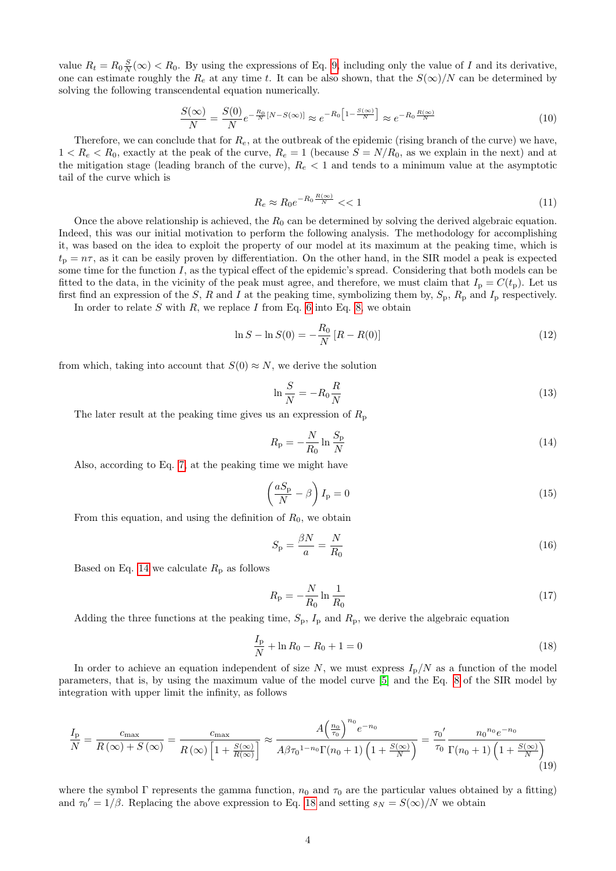value  $R_t = R_0 \frac{S}{N}(\infty) < R_0$ . By using the expressions of Eq. [9,](#page-2-1) including only the value of I and its derivative, one can estimate roughly the  $R_e$  at any time t. It can be also shown, that the  $S(\infty)/N$  can be determined by solving the following transcendental equation numerically.

<span id="page-3-2"></span>
$$
\frac{S(\infty)}{N} = \frac{S(0)}{N} e^{-\frac{R_0}{N}[N - S(\infty)]} \approx e^{-R_0 \left[1 - \frac{S(\infty)}{N}\right]} \approx e^{-R_0 \frac{R(\infty)}{N}}
$$
(10)

Therefore, we can conclude that for  $R_e$ , at the outbreak of the epidemic (rising branch of the curve) we have,  $1 < R_e < R_0$ , exactly at the peak of the curve,  $R_e = 1$  (because  $S = N/R_0$ , as we explain in the next) and at the mitigation stage (leading branch of the curve),  $R_e < 1$  and tends to a minimum value at the asymptotic tail of the curve which is

$$
R_e \approx R_0 e^{-R_0 \frac{R(\infty)}{N}} < < 1\tag{11}
$$

Once the above relationship is achieved, the  $R_0$  can be determined by solving the derived algebraic equation. Indeed, this was our initial motivation to perform the following analysis. The methodology for accomplishing it, was based on the idea to exploit the property of our model at its maximum at the peaking time, which is  $t_p = n\tau$ , as it can be easily proven by differentiation. On the other hand, in the SIR model a peak is expected some time for the function  $I$ , as the typical effect of the epidemic's spread. Considering that both models can be fitted to the data, in the vicinity of the peak must agree, and therefore, we must claim that  $I_p = C(t_p)$ . Let us first find an expression of the S, R and I at the peaking time, symbolizing them by,  $S_p$ ,  $R_p$  and  $I_p$  respectively.

In order to relate  $S$  with  $R$ , we replace  $I$  from Eq. [6](#page-2-2) into Eq. [8,](#page-2-3) we obtain

$$
\ln S - \ln S(0) = -\frac{R_0}{N} \left[ R - R(0) \right] \tag{12}
$$

from which, taking into account that  $S(0) \approx N$ , we derive the solution

$$
\ln\frac{S}{N} = -R_0 \frac{R}{N} \tag{13}
$$

The later result at the peaking time gives us an expression of  $R_p$ 

<span id="page-3-0"></span>
$$
R_{\rm p} = -\frac{N}{R_0} \ln \frac{S_{\rm p}}{N} \tag{14}
$$

Also, according to Eq. [7,](#page-2-4) at the peaking time we might have

$$
\left(\frac{aS_{\rm p}}{N} - \beta\right)I_{\rm p} = 0\tag{15}
$$

From this equation, and using the definition of  $R_0$ , we obtain

$$
S_{\rm p} = \frac{\beta N}{a} = \frac{N}{R_0} \tag{16}
$$

Based on Eq. [14](#page-3-0) we calculate  $R_p$  as follows

$$
R_{\rm p} = -\frac{N}{R_0} \ln \frac{1}{R_0} \tag{17}
$$

Adding the three functions at the peaking time,  $S_p$ ,  $I_p$  and  $R_p$ , we derive the algebraic equation

<span id="page-3-1"></span>
$$
\frac{I_{\rm p}}{N} + \ln R_0 - R_0 + 1 = 0\tag{18}
$$

In order to achieve an equation independent of size  $N$ , we must express  $I_p/N$  as a function of the model parameters, that is, by using the maximum value of the model curve [\[5\]](#page-7-4) and the Eq. [8](#page-2-3) of the SIR model by integration with upper limit the infinity, as follows

$$
\frac{I_{\rm p}}{N} = \frac{c_{\rm max}}{R\left(\infty\right) + S\left(\infty\right)} = \frac{c_{\rm max}}{R\left(\infty\right)\left[1 + \frac{S\left(\infty\right)}{R\left(\infty\right)}\right]} \approx \frac{A\left(\frac{n_0}{\tau_0}\right)^{n_0} e^{-n_0}}{A\beta \tau_0^{1 - n_0} \Gamma(n_0 + 1) \left(1 + \frac{S\left(\infty\right)}{N}\right)} = \frac{\tau_0'}{\tau_0} \frac{n_0^{n_0} e^{-n_0}}{\Gamma(n_0 + 1) \left(1 + \frac{S\left(\infty\right)}{N}\right)}\tag{19}
$$

where the symbol  $\Gamma$  represents the gamma function,  $n_0$  and  $\tau_0$  are the particular values obtained by a fitting) and  $\tau_0' = 1/\beta$ . Replacing the above expression to Eq. [18](#page-3-1) and setting  $s_N = S(\infty)/N$  we obtain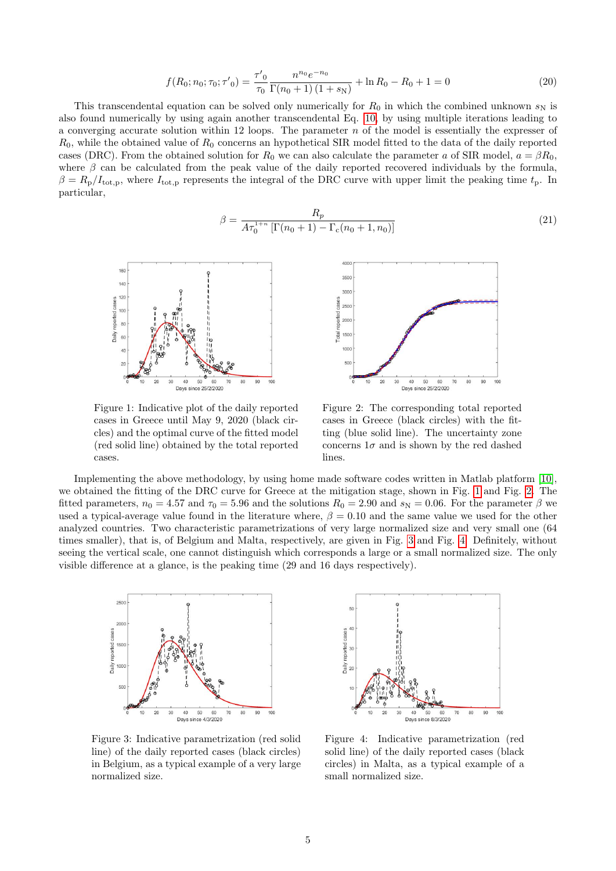$$
f(R_0; n_0; \tau_0; \tau'_0) = \frac{\tau'_0}{\tau_0} \frac{n^{n_0} e^{-n_0}}{\Gamma(n_0 + 1)(1 + s_N)} + \ln R_0 - R_0 + 1 = 0
$$
\n(20)

This transcendental equation can be solved only numerically for  $R_0$  in which the combined unknown  $s_N$  is also found numerically by using again another transcendental Eq. [10,](#page-3-2) by using multiple iterations leading to a converging accurate solution within 12 loops. The parameter  $n$  of the model is essentially the expresser of  $R_0$ , while the obtained value of  $R_0$  concerns an hypothetical SIR model fitted to the data of the daily reported cases (DRC). From the obtained solution for  $R_0$  we can also calculate the parameter a of SIR model,  $a = \beta R_0$ , where  $\beta$  can be calculated from the peak value of the daily reported recovered individuals by the formula,  $\beta = R_{\rm p}/I_{\rm tot,p}$ , where  $I_{\rm tot,p}$  represents the integral of the DRC curve with upper limit the peaking time  $t_{\rm p}$ . In particular,

$$
\beta = \frac{R_p}{A\tau_0^{1+n} \left[ \Gamma(n_0+1) - \Gamma_c(n_0+1, n_0) \right]}
$$
\n(21)



<span id="page-4-0"></span>Figure 1: Indicative plot of the daily reported cases in Greece until May 9, 2020 (black circles) and the optimal curve of the fitted model (red solid line) obtained by the total reported cases.



<span id="page-4-1"></span>Figure 2: The corresponding total reported cases in Greece (black circles) with the fitting (blue solid line). The uncertainty zone concerns  $1\sigma$  and is shown by the red dashed lines.

Implementing the above methodology, by using home made software codes written in Matlab platform [\[10\]](#page-7-9), we obtained the fitting of the DRC curve for Greece at the mitigation stage, shown in Fig. [1](#page-4-0) and Fig. [2.](#page-4-1) The fitted parameters,  $n_0 = 4.57$  and  $\tau_0 = 5.96$  and the solutions  $R_0 = 2.90$  and  $s_N = 0.06$ . For the parameter  $\beta$  we used a typical-average value found in the literature where,  $\beta = 0.10$  and the same value we used for the other analyzed countries. Two characteristic parametrizations of very large normalized size and very small one (64 times smaller), that is, of Belgium and Malta, respectively, are given in Fig. [3](#page-4-2) and Fig. [4.](#page-4-3) Definitely, without seeing the vertical scale, one cannot distinguish which corresponds a large or a small normalized size. The only visible difference at a glance, is the peaking time (29 and 16 days respectively).



<span id="page-4-2"></span>Figure 3: Indicative parametrization (red solid line) of the daily reported cases (black circles) in Belgium, as a typical example of a very large normalized size.



<span id="page-4-3"></span>Figure 4: Indicative parametrization (red solid line) of the daily reported cases (black circles) in Malta, as a typical example of a small normalized size.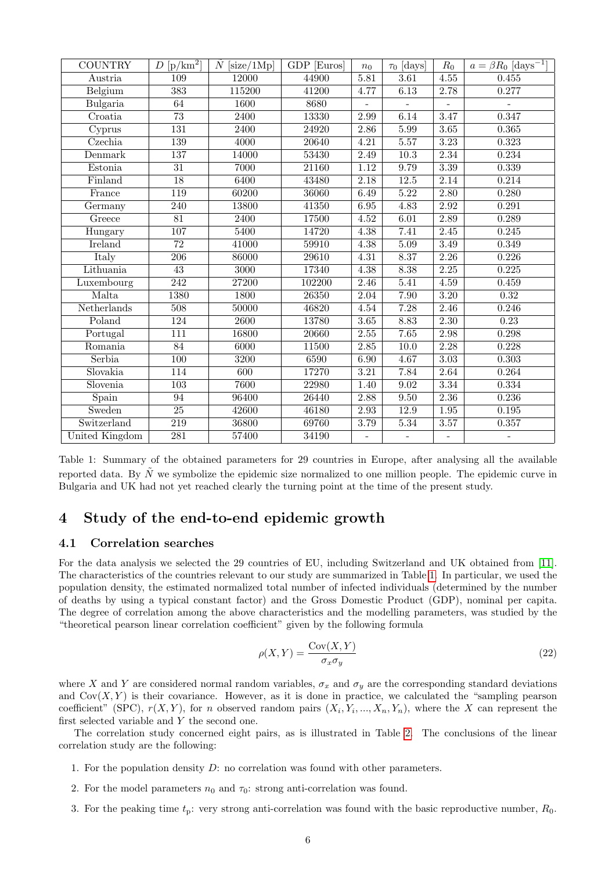| <b>COUNTRY</b> | $D\ [\mathrm{p/km}^2]$ | $\ddot{N}$ [size/1Mp] | GDP [Euros]        | $n_0$             | $\tau_0$ [days]          | $R_0$             | $a = \beta R_0 \text{ [days}^{-1}$ |
|----------------|------------------------|-----------------------|--------------------|-------------------|--------------------------|-------------------|------------------------------------|
| Austria        | 109                    | 12000                 | 44900              | 5.81              | 3.61                     | 4.55              | 0.455                              |
| Belgium        | $\overline{383}$       | 115200                | 41200              | 4.77              | 6.13                     | 2.78              | 0.277                              |
| Bulgaria       | 64                     | 1600                  | 8680               |                   |                          |                   |                                    |
| Croatia        | $\overline{73}$        | 2400                  | 13330              | 2.99              | 6.14                     | 3.47              | 0.347                              |
| Cyprus         | $\overline{131}$       | 2400                  | 24920              | 2.86              | 5.99                     | 3.65              | 0.365                              |
| Czechia        | 139                    | 4000                  | 20640              | 4.21              | $5.57$                   | 3.23              | 0.323                              |
| Denmark        | 137                    | 14000                 | 53430              | 2.49              | $\overline{10.3}$        | 2.34              | 0.234                              |
| Estonia        | $\overline{31}$        | 7000                  | 21160              | $1.12\,$          | 9.79                     | 3.39              | 0.339                              |
| Finland        | 18                     | 6400                  | 43480              | 2.18              | 12.5                     | 2.14              | 0.214                              |
| France         | 119                    | 60200                 | 36060              | 6.49              | 5.22                     | 2.80              | 0.280                              |
| Germany        | 240                    | 13800                 | 41350              | 6.95              | 4.83                     | 2.92              | 0.291                              |
| Greece         | $\overline{81}$        | 2400                  | 17500              | 4.52              | 6.01                     | 2.89              | 0.289                              |
| Hungary        | 107                    | 5400                  | 14720              | 4.38              | 7.41                     | 2.45              | 0.245                              |
| <b>Ireland</b> | $\overline{72}$        | 41000                 | 59910              | 4.38              | 5.09                     | $\overline{3.49}$ | 0.349                              |
| Italy          | $\overline{206}$       | 86000                 | 29610              | $\overline{4.31}$ | 8.37                     | 2.26              | 0.226                              |
| Lithuania      | $\overline{43}$        | $\overline{3000}$     | 17340              | 4.38              | 8.38                     | $\overline{2.25}$ | 0.225                              |
| Luxembourg     | $\overline{242}$       | 27200                 | 102200             | 2.46              | 5.41                     | $\overline{4.59}$ | 0.459                              |
| Malta          | 1380                   | <b>1800</b>           | $\overline{26350}$ | 2.04              | 7.90                     | $\overline{3.20}$ | 0.32                               |
| Netherlands    | $\overline{508}$       | 50000                 | 46820              | 4.54              | 7.28                     | 2.46              | 0.246                              |
| Poland         | 124                    | $\overline{2600}$     | 13780              | 3.65              | 8.83                     | 2.30              | 0.23                               |
| Portugal       | $\overline{111}$       | 16800                 | 20660              | 2.55              | 7.65                     | 2.98              | 0.298                              |
| Romania        | 84                     | 6000                  | 11500              | 2.85              | 10.0                     | 2.28              | 0.228                              |
| Serbia         | $\overline{100}$       | 3200                  | 6590               | 6.90              | 4.67                     | $\overline{3.03}$ | 0.303                              |
| Slovakia       | 114                    | 600                   | 17270              | 3.21              | 7.84                     | 2.64              | 0.264                              |
| Slovenia       | $\overline{103}$       | 7600                  | 22980              | 1.40              | 9.02                     | 3.34              | 0.334                              |
| Spain          | 94                     | 96400                 | 26440              | 2.88              | 9.50                     | 2.36              | 0.236                              |
| Sweden         | $\overline{25}$        | 42600                 | 46180              | 2.93              | 12.9                     | $1.95\,$          | $\,0.195\,$                        |
| Switzerland    | 219                    | 36800                 | 69760              | 3.79              | $5.34\,$                 | $3.57\,$          | 0.357                              |
| United Kingdom | 281                    | 57400                 | 34190              | $\bar{a}$         | $\overline{\phantom{a}}$ | $\blacksquare$    | $\equiv$                           |

<span id="page-5-1"></span>Table 1: Summary of the obtained parameters for 29 countries in Europe, after analysing all the available reported data. By  $\tilde{N}$  we symbolize the epidemic size normalized to one million people. The epidemic curve in Bulgaria and UK had not yet reached clearly the turning point at the time of the present study.

# <span id="page-5-0"></span>4 Study of the end-to-end epidemic growth

## 4.1 Correlation searches

For the data analysis we selected the 29 countries of EU, including Switzerland and UK obtained from [\[11\]](#page-7-10). The characteristics of the countries relevant to our study are summarized in Table [1.](#page-5-1) In particular, we used the population density, the estimated normalized total number of infected individuals (determined by the number of deaths by using a typical constant factor) and the Gross Domestic Product (GDP), nominal per capita. The degree of correlation among the above characteristics and the modelling parameters, was studied by the "theoretical pearson linear correlation coefficient" given by the following formula

$$
\rho(X,Y) = \frac{\text{Cov}(X,Y)}{\sigma_x \sigma_y} \tag{22}
$$

where X and Y are considered normal random variables,  $\sigma_x$  and  $\sigma_y$  are the corresponding standard deviations and  $Cov(X, Y)$  is their covariance. However, as it is done in practice, we calculated the "sampling pearson" coefficient" (SPC),  $r(X, Y)$ , for n observed random pairs  $(X_i, Y_i, ..., X_n, Y_n)$ , where the X can represent the first selected variable and  $Y$  the second one.

The correlation study concerned eight pairs, as is illustrated in Table [2.](#page-6-0) The conclusions of the linear correlation study are the following:

- 1. For the population density  $D$ : no correlation was found with other parameters.
- 2. For the model parameters  $n_0$  and  $\tau_0$ : strong anti-correlation was found.
- 3. For the peaking time  $t_p$ : very strong anti-correlation was found with the basic reproductive number,  $R_0$ .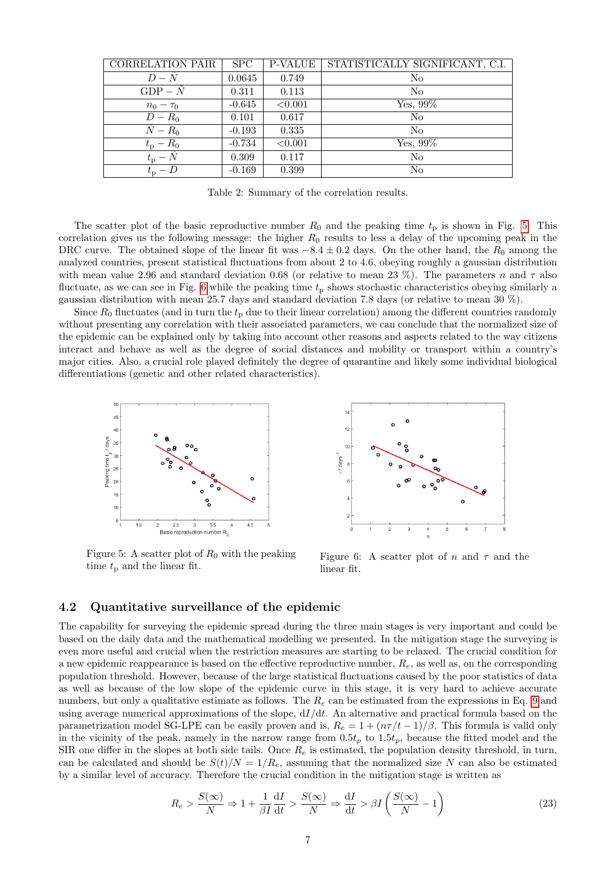| <b>CORRELATION PAIR</b> | SPC      | <b>P-VALUE</b> | STATISTICALLY SIGNIFICANT, C.I. |
|-------------------------|----------|----------------|---------------------------------|
| $D-N$                   | 0.0645   | 0.749          | N <sub>0</sub>                  |
| $GDP - N$               | 0.311    | 0.113          | N <sub>o</sub>                  |
| $n_0 - \tau_0$          | $-0.645$ | < 0.001        | Yes, $99\%$                     |
| $D-R_0$                 | 0.101    | 0.617          | N <sub>0</sub>                  |
| $N-R_0$                 | $-0.193$ | 0.335          | N <sub>o</sub>                  |
| $t_{\rm p}-R_0$         | $-0.734$ | < 0.001        | Yes, 99%                        |
| $t_{\rm p} - N$         | 0.309    | 0.117          | N <sub>o</sub>                  |
| $t_{\rm p}$ – D         | $-0.169$ | 0.399          | N <sub>o</sub>                  |

<span id="page-6-0"></span>Table 2: Summary of the correlation results.

The scatter plot of the basic reproductive number  $R_0$  and the peaking time  $t_p$  is shown in Fig. [5.](#page-6-1) This correlation gives us the following message: the higher  $R_0$  results to less a delay of the upcoming peak in the DRC curve. The obtained slope of the linear fit was  $-8.4 \pm 0.2$  days. On the other hand, the  $R_0$  among the analyzed countries, present statistical fluctuations from about 2 to 4.6, obeying roughly a gaussian distribution with mean value 2.96 and standard deviation 0.68 (or relative to mean 23 %). The parameters n and  $\tau$  also fluctuate, as we can see in Fig. [6](#page-6-2) while the peaking time  $t_p$  shows stochastic characteristics obeying similarly a gaussian distribution with mean 25.7 days and standard deviation 7.8 days (or relative to mean 30 %).

Since  $R_0$  fluctuates (and in turn the  $t_p$  due to their linear correlation) among the different countries randomly without presenting any correlation with their associated parameters, we can conclude that the normalized size of the epidemic can be explained only by taking into account other reasons and aspects related to the way citizens interact and behave as well as the degree of social distances and mobility or transport within a country's major cities. Also, a crucial role played definitely the degree of quarantine and likely some individual biological differentiations (genetic and other related characteristics).



<span id="page-6-1"></span>Figure 5: A scatter plot of  $R_0$  with the peaking time  $t_{\rm p}$  and the linear fit.



<span id="page-6-2"></span>Figure 6: A scatter plot of n and  $\tau$  and the linear fit.

#### 4.2 Quantitative surveillance of the epidemic

The capability for surveying the epidemic spread during the three main stages is very important and could be based on the daily data and the mathematical modelling we presented. In the mitigation stage the surveying is even more useful and crucial when the restriction measures are starting to be relaxed. The crucial condition for a new epidemic reappearance is based on the effective reproductive number,  $R_e$ , as well as, on the corresponding population threshold. However, because of the large statistical fluctuations caused by the poor statistics of data as well as because of the low slope of the epidemic curve in this stage, it is very hard to achieve accurate numbers, but only a qualitative estimate as follows. The  $R_e$  can be estimated from the expressions in Eq. [9](#page-2-1) and using average numerical approximations of the slope,  $dI/dt$ . An alternative and practical formula based on the parametrization model SG-LPE can be easily proven and is,  $R_e = 1 + (n\tau/t - 1)/\beta$ . This formula is valid only in the vicinity of the peak, namely in the narrow range from  $0.5t_p$  to  $1.5t_p$ , because the fitted model and the SIR one differ in the slopes at both side tails. Once  $R_e$  is estimated, the population density threshold, in turn, can be calculated and should be  $S(t)/N = 1/R_e$ , assuming that the normalized size N can also be estimated by a similar level of accuracy. Therefore the crucial condition in the mitigation stage is written as

$$
R_e > \frac{S(\infty)}{N} \Rightarrow 1 + \frac{1}{\beta I} \frac{dI}{dt} > \frac{S(\infty)}{N} \Rightarrow \frac{dI}{dt} > \beta I \left(\frac{S(\infty)}{N} - 1\right)
$$
(23)